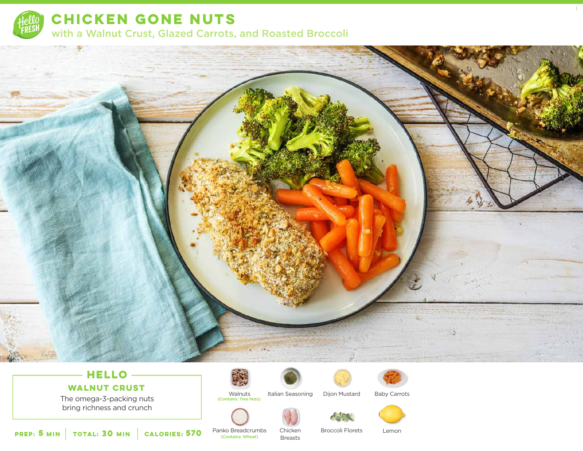

**CHICKEN GONE NUTS**  with a Walnut Crust, Glazed Carrots, and Roasted Broccoli



# **HELLO**

**WALNUT CRUST**

The omega-3-packing nuts bring richness and crunch





Italian Seasoning Dijon Mustard

Breasts







1

Panko Breadcrumbs Chicken

Broccoli Florets

Lemon

**5 30 MIN MIN CALORIES:CALORIES: 570** Panko Breadcrum